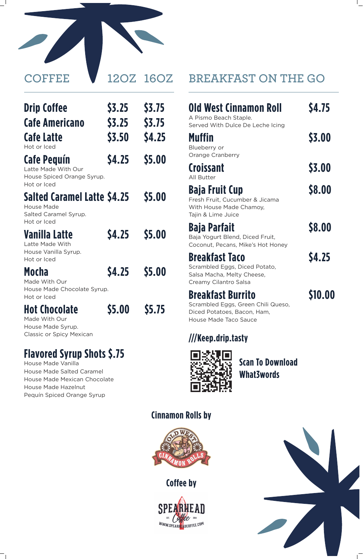

| <b>Drip Coffee</b>    | <b>\$3.25</b> | <b>S3.75</b>  |
|-----------------------|---------------|---------------|
| <b>Cafe Americano</b> | <b>\$3.25</b> | <b>\$3.75</b> |
| Cafe Latte            | \$3.50        | <b>\$4.25</b> |
| Hot or Iced           |               |               |

### **Cafe Pequín \$4.25 \$5.00**

Latte Made With Our House Spiced Orange Syrup. Hot or Iced

# **Salted Caramel Latte \$4.25 \$5.00**

House Made Salted Caramel Syrup. Hot or Iced

# **Vanilla Latte \$4.25 \$5.00**

Latte Made With House Vanilla Syrup. Hot or Iced

## **Mocha \$4.25 \$5.00**

Made With Our House Made Chocolate Syrup. Hot or Iced

# **Hot Chocolate \$5.00 \$5.75**

Made With Our House Made Syrup. Classic or Spicy Mexican

# **Flavored Syrup Shots \$.75**

House Made Vanilla House Made Salted Caramel House Made Mexican Chocolate House Made Hazelnut Pequín Spiced Orange Syrup

# **BREAKFAST ON THE GO**

# **Old West Cinnamon Roll \$4.75**

A Pismo Beach Staple. Served With Dulce De Leche Icing

**Muffin \$3.00**

Blueberry or Orange Cranberry

## **Croissant \$3.00**

All Butter

# **Baja Fruit Cup** \$8.00

Fresh Fruit, Cucumber & Jicama With House Made Chamoy, Tajin & Lime Juice

# **Baja Parfait \$8.00**

Baja Yogurt Blend, Diced Fruit,

Coconut, Pecans, Mike's Hot Honey

# **Breakfast Taco \$4.25**

Scrambled Eggs, Diced Potato, Salsa Macha, Melty Cheese, Creamy Cilantro Salsa

# **Breakfast Burrito \$10.00**

Scrambled Eggs, Green Chili Queso, Diced Potatoes, Bacon, Ham, House Made Taco Sauce

### **///Keep.drip.tasty**



### **Scan To Download What3words**

#### **Cinnamon Rolls by**